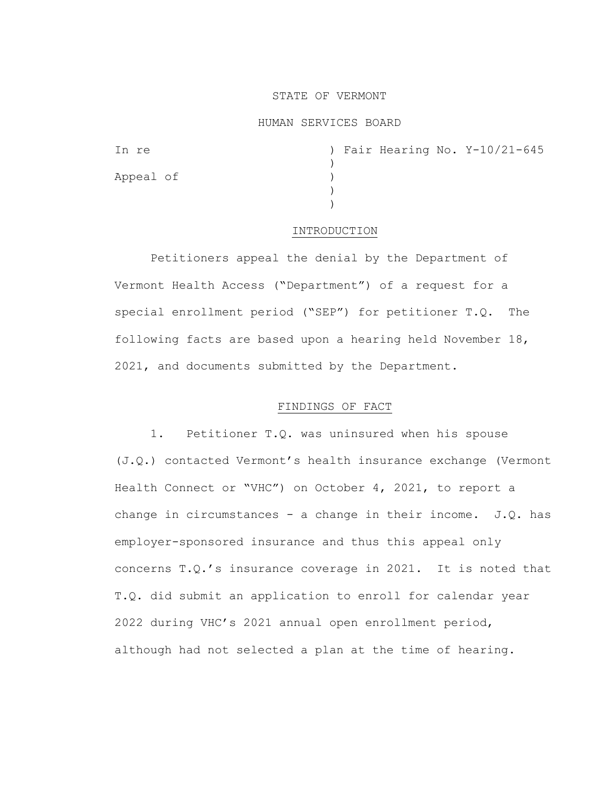### STATE OF VERMONT

### HUMAN SERVICES BOARD

| In re     |  |  | ) Fair Hearing No. Y-10/21-645 |
|-----------|--|--|--------------------------------|
|           |  |  |                                |
| Appeal of |  |  |                                |
|           |  |  |                                |
|           |  |  |                                |

#### INTRODUCTION

Petitioners appeal the denial by the Department of Vermont Health Access ("Department") of a request for a special enrollment period ("SEP") for petitioner T.Q. The following facts are based upon a hearing held November 18, 2021, and documents submitted by the Department.

### FINDINGS OF FACT

1. Petitioner T.Q. was uninsured when his spouse (J.Q.) contacted Vermont's health insurance exchange (Vermont Health Connect or "VHC") on October 4, 2021, to report a change in circumstances - a change in their income.  $J.Q.$  has employer-sponsored insurance and thus this appeal only concerns T.Q.'s insurance coverage in 2021. It is noted that T.Q. did submit an application to enroll for calendar year 2022 during VHC's 2021 annual open enrollment period, although had not selected a plan at the time of hearing.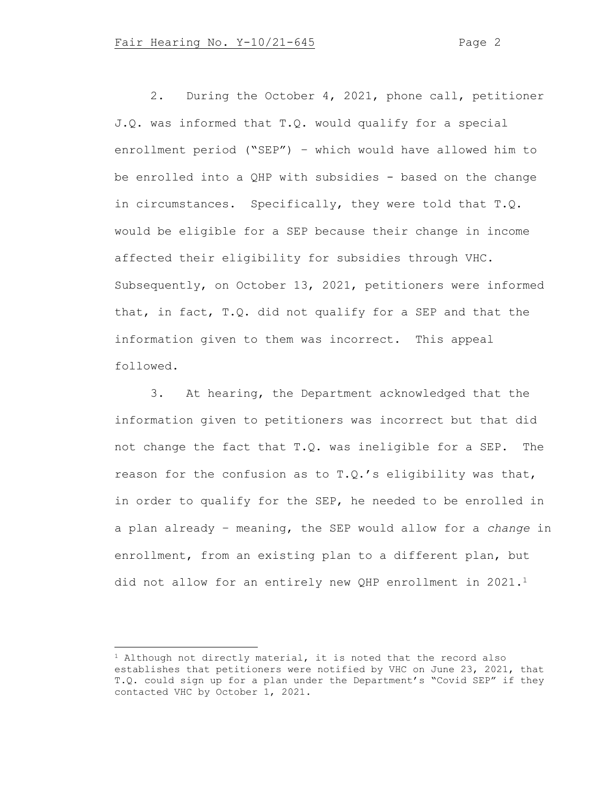2. During the October 4, 2021, phone call, petitioner J.Q. was informed that T.Q. would qualify for a special enrollment period ("SEP") – which would have allowed him to be enrolled into a QHP with subsidies - based on the change in circumstances. Specifically, they were told that T.Q. would be eligible for a SEP because their change in income affected their eligibility for subsidies through VHC. Subsequently, on October 13, 2021, petitioners were informed that, in fact, T.Q. did not qualify for a SEP and that the information given to them was incorrect. This appeal followed.

3. At hearing, the Department acknowledged that the information given to petitioners was incorrect but that did not change the fact that T.Q. was ineligible for a SEP. The reason for the confusion as to T.Q.'s eligibility was that, in order to qualify for the SEP, he needed to be enrolled in a plan already – meaning, the SEP would allow for a *change* in enrollment, from an existing plan to a different plan, but did not allow for an entirely new QHP enrollment in 2021.<sup>1</sup>

 $1$  Although not directly material, it is noted that the record also establishes that petitioners were notified by VHC on June 23, 2021, that T.Q. could sign up for a plan under the Department's "Covid SEP" if they contacted VHC by October 1, 2021.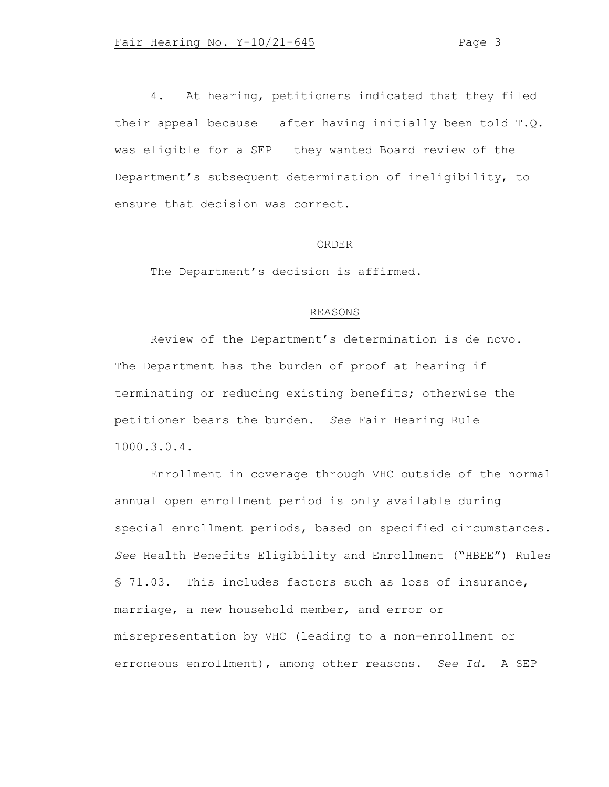4. At hearing, petitioners indicated that they filed their appeal because – after having initially been told T.Q. was eligible for a SEP – they wanted Board review of the Department's subsequent determination of ineligibility, to ensure that decision was correct.

# ORDER

The Department's decision is affirmed.

## REASONS

Review of the Department's determination is de novo. The Department has the burden of proof at hearing if terminating or reducing existing benefits; otherwise the petitioner bears the burden. *See* Fair Hearing Rule 1000.3.0.4.

Enrollment in coverage through VHC outside of the normal annual open enrollment period is only available during special enrollment periods, based on specified circumstances. *See* Health Benefits Eligibility and Enrollment ("HBEE") Rules § 71.03. This includes factors such as loss of insurance, marriage, a new household member, and error or misrepresentation by VHC (leading to a non-enrollment or erroneous enrollment), among other reasons. *See Id.* A SEP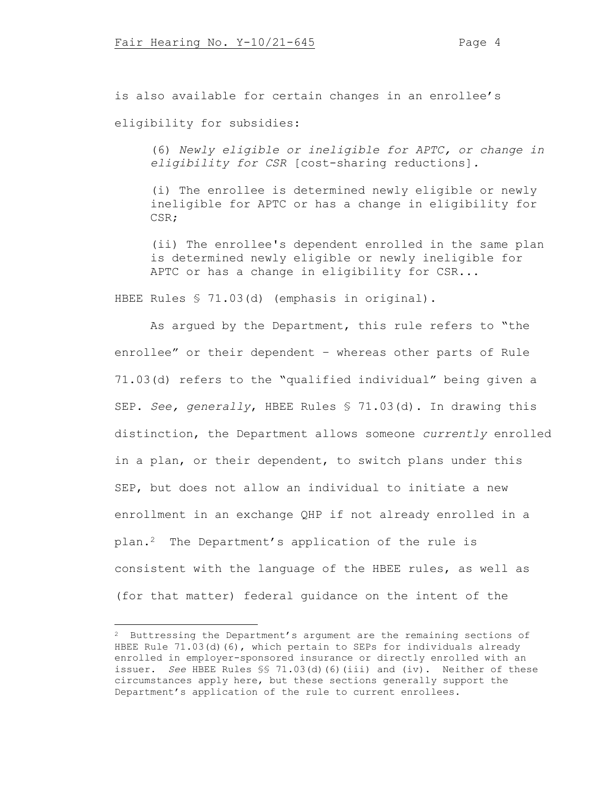is also available for certain changes in an enrollee's

eligibility for subsidies:

(6) *Newly eligible or ineligible for APTC, or change in eligibility for CSR* [cost-sharing reductions]*.*

(i) The enrollee is determined newly eligible or newly ineligible for APTC or has a change in eligibility for CSR;

(ii) The enrollee's dependent enrolled in the same plan is determined newly eligible or newly ineligible for APTC or has a change in eligibility for CSR...

HBEE Rules § 71.03(d) (emphasis in original).

As argued by the Department, this rule refers to "the enrollee" or their dependent – whereas other parts of Rule 71.03(d) refers to the "qualified individual" being given a SEP. *See, generally*, HBEE Rules § 71.03(d). In drawing this distinction, the Department allows someone *currently* enrolled in a plan, or their dependent, to switch plans under this SEP, but does not allow an individual to initiate a new enrollment in an exchange QHP if not already enrolled in a plan.2 The Department's application of the rule is consistent with the language of the HBEE rules, as well as (for that matter) federal guidance on the intent of the

<sup>&</sup>lt;sup>2</sup> Buttressing the Department's argument are the remaining sections of HBEE Rule 71.03(d)(6), which pertain to SEPs for individuals already enrolled in employer-sponsored insurance or directly enrolled with an issuer. *See* HBEE Rules §§ 71.03(d)(6)(iii) and (iv). Neither of these circumstances apply here, but these sections generally support the Department's application of the rule to current enrollees.